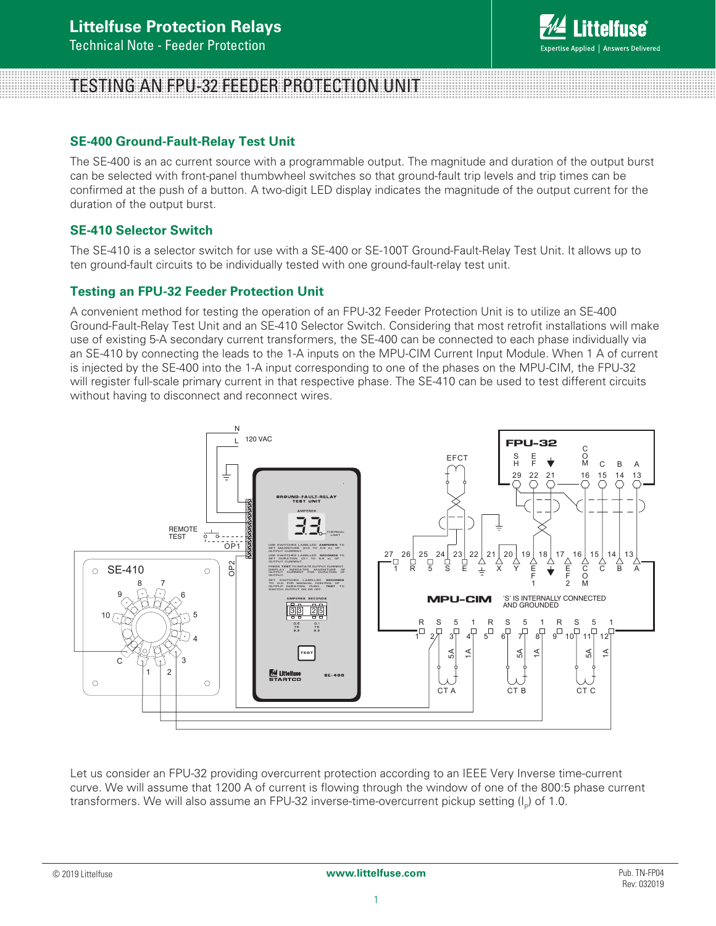

# TESTING AN FPU-32 FEEDER PROTECTION UNIT

## **SE-400 Ground-Fault-Relay Test Unit**

The SE-400 is an ac current source with a programmable output. The magnitude and duration of the output burst can be selected with front-panel thumbwheel switches so that ground-fault trip levels and trip times can be confirmed at the push of a button. A two-digit LED display indicates the magnitude of the output current for the duration of the output burst.

### **SE-410 Selector Switch**

The SE-410 is a selector switch for use with a SE-400 or SE-100T Ground-Fault-Relay Test Unit. It allows up to ten ground-fault circuits to be individually tested with one ground-fault-relay test unit.

### **Testing an FPU-32 Feeder Protection Unit**

A convenient method for testing the operation of an FPU-32 Feeder Protection Unit is to utilize an SE-400 Ground-Fault-Relay Test Unit and an SE-410 Selector Switch. Considering that most retrofit installations will make use of existing 5-A secondary current transformers, the SE-400 can be connected to each phase individually via an SE-410 by connecting the leads to the 1-A inputs on the MPU-CIM Current Input Module. When 1 A of current is injected by the SE-400 into the 1-A input corresponding to one of the phases on the MPU-CIM, the FPU-32 will register full-scale primary current in that respective phase. The SE-410 can be used to test different circuits without having to disconnect and reconnect wires.



Let us consider an FPU-32 providing overcurrent protection according to an IEEE Very Inverse time-current curve. We will assume that 1200 A of current is flowing through the window of one of the 800:5 phase current transformers. We will also assume an FPU-32 inverse-time-overcurrent pickup setting  $(I_{p})$  of 1.0.